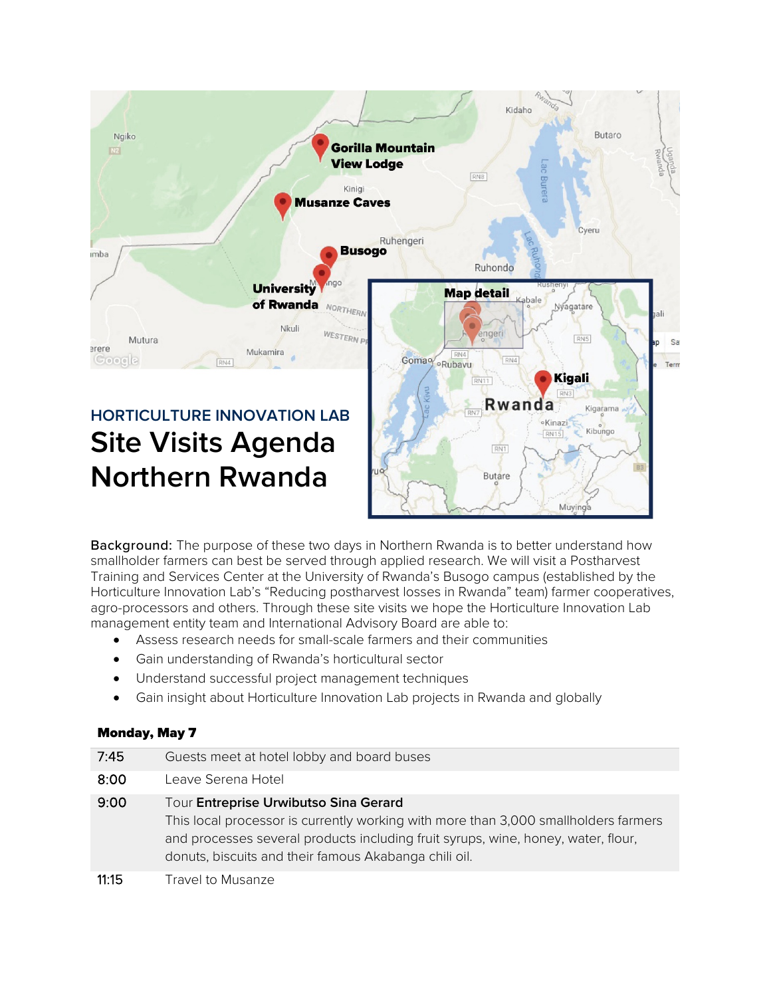

Background: The purpose of these two days in Northern Rwanda is to better understand how smallholder farmers can best be served through applied research. We will visit a Postharvest Training and Services Center at the University of Rwanda's Busogo campus (established by the Horticulture Innovation Lab's "Reducing postharvest losses in Rwanda" team) farmer cooperatives, agro-processors and others. Through these site visits we hope the Horticulture Innovation Lab management entity team and International Advisory Board are able to:

- Assess research needs for small-scale farmers and their communities
- Gain understanding of Rwanda's horticultural sector
- Understand successful project management techniques
- Gain insight about Horticulture Innovation Lab projects in Rwanda and globally

## Monday, May 7

| 7:45  | Guests meet at hotel lobby and board buses                                                                                                                                                                                                                                 |
|-------|----------------------------------------------------------------------------------------------------------------------------------------------------------------------------------------------------------------------------------------------------------------------------|
| 8:00  | Leave Serena Hotel                                                                                                                                                                                                                                                         |
| 9:00  | Tour Entreprise Urwibutso Sina Gerard<br>This local processor is currently working with more than 3,000 smallholders farmers<br>and processes several products including fruit syrups, wine, honey, water, flour,<br>donuts, biscuits and their famous Akabanga chili oil. |
| 11:15 | Travel to Musanze                                                                                                                                                                                                                                                          |